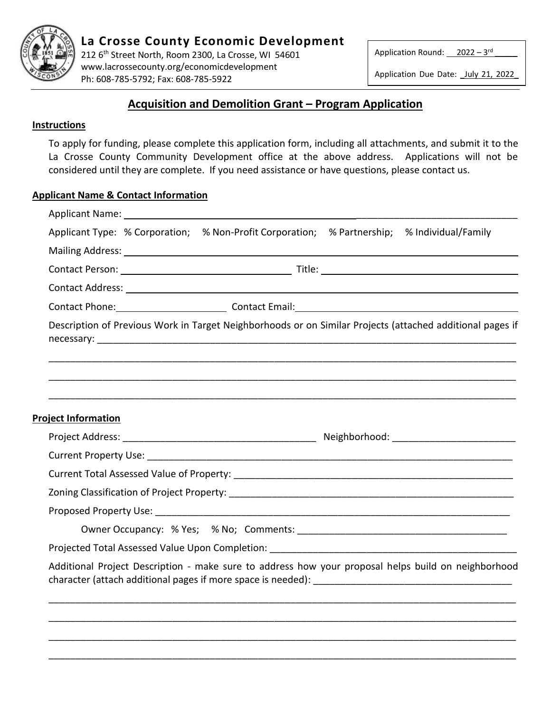

212 6 th Street North, Room 2300, La Crosse, WI 54601 www.lacrossecounty.org/economicdevelopment Ph: 608-785-5792; Fax: 608-785-5922

Application Round: 2022 – 3<sup>rd</sup> Electric

\_

Application Due Date: July 21, 2022

# **Acquisition and Demolition Grant – Program Application**

# **Instructions**

To apply for funding, please complete this application form, including all attachments, and submit it to the La Crosse County Community Development office at the above address. Applications will not be considered until they are complete. If you need assistance or have questions, please contact us.

# **Applicant Name & Contact Information**

|                            | Applicant Type: % Corporation; % Non-Profit Corporation; % Partnership; % Individual/Family                                                                                                                                    |  |  |
|----------------------------|--------------------------------------------------------------------------------------------------------------------------------------------------------------------------------------------------------------------------------|--|--|
|                            |                                                                                                                                                                                                                                |  |  |
|                            | Contact Person: 1990 and 2001 and 2008 and 2009 and 2009 and 2009 and 2009 and 2009 and 2009 and 2009 and 2009 and 2009 and 2009 and 2009 and 2009 and 2009 and 2009 and 2009 and 2009 and 2009 and 2009 and 2009 and 2009 and |  |  |
|                            |                                                                                                                                                                                                                                |  |  |
|                            | Contact Phone: Contact Email: Contact Email: Contact Email: Contact Email:                                                                                                                                                     |  |  |
|                            | Description of Previous Work in Target Neighborhoods or on Similar Projects (attached additional pages if                                                                                                                      |  |  |
|                            |                                                                                                                                                                                                                                |  |  |
| <b>Project Information</b> |                                                                                                                                                                                                                                |  |  |
|                            |                                                                                                                                                                                                                                |  |  |
|                            |                                                                                                                                                                                                                                |  |  |
|                            |                                                                                                                                                                                                                                |  |  |
|                            |                                                                                                                                                                                                                                |  |  |
|                            |                                                                                                                                                                                                                                |  |  |
|                            |                                                                                                                                                                                                                                |  |  |
|                            | Additional Project Description - make sure to address how your proposal helps build on neighborhood                                                                                                                            |  |  |
|                            |                                                                                                                                                                                                                                |  |  |
|                            |                                                                                                                                                                                                                                |  |  |
|                            |                                                                                                                                                                                                                                |  |  |